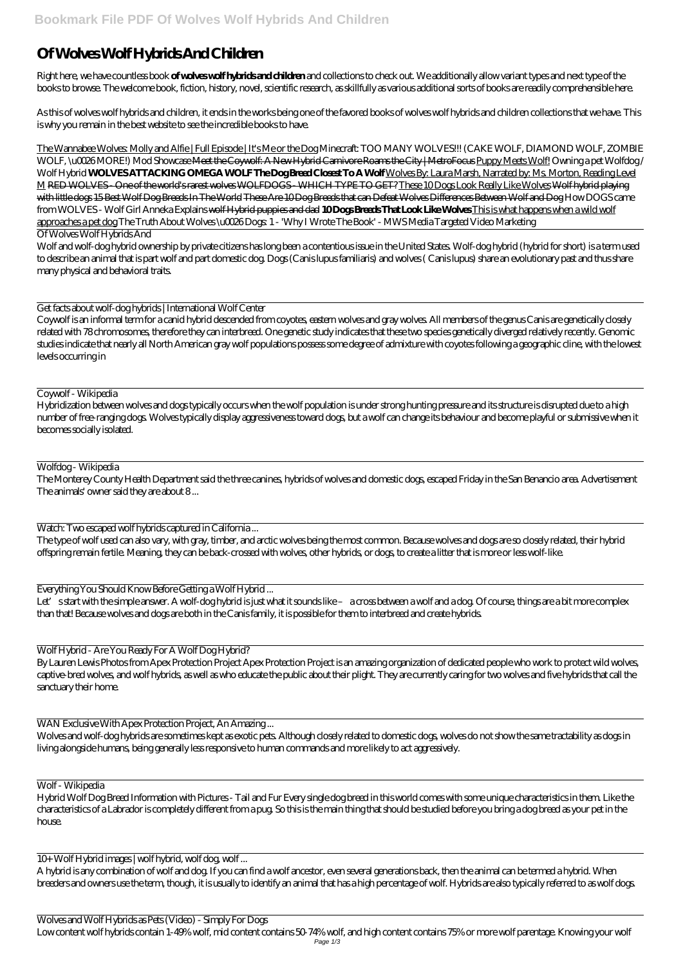## **Of Wolves Wolf Hybrids And Children**

Right here, we have countless book **of wolves wolf hybrids and children** and collections to check out. We additionally allow variant types and next type of the books to browse. The welcome book, fiction, history, novel, scientific research, as skillfully as various additional sorts of books are readily comprehensible here.

As this of wolves wolf hybrids and children, it ends in the works being one of the favored books of wolves wolf hybrids and children collections that we have. This is why you remain in the best website to see the incredible books to have.

The Wannabee Wolves: Molly and Alfie | Full Episode | It's Me or the Dog *Minecraft: TOO MANY WOLVES!!! (CAKE WOLF, DIAMOND WOLF, ZOMBIE WOLF, \u0026 MORE!) Mod Showcase* Meet the Coywolf: A New Hybrid Carnivore Roams the City | MetroFocus Puppy Meets Wolf! *Owning a pet Wolfdog / Wolf Hybrid* **WOLVES ATTACKING OMEGA WOLF The Dog Breed Closest To A Wolf** Wolves By: Laura Marsh, Narrated by: Ms. Morton, Reading Level M RED WOLVES - One of the world's rarest wolves WOLFDOGS - WHICH TYPE TO GET? These 10 Dogs Look Really Like Wolves Wolf hybrid playing with little dogs 15 Best Wolf Dog Breeds In The World These Are 10 Dog Breeds that can Defeat Wolves Differences Between Wolf and Dog *How DOGS came from WOLVES - Wolf Girl Anneka Explains* wolf Hybrid puppies and dad **10 Dogs Breeds That Look Like Wolves** This is what happens when a wild wolf approaches a pet dog The Truth About Wolves \u0026 Dogs: 1 - 'Why I Wrote The Book' - MWS Media Targeted Video Marketing

## Of Wolves Wolf Hybrids And

Wolf and wolf-dog hybrid ownership by private citizens has long been a contentious issue in the United States. Wolf-dog hybrid (hybrid for short) is a term used to describe an animal that is part wolf and part domestic dog. Dogs (Canis lupus familiaris) and wolves ( Canis lupus) share an evolutionary past and thus share many physical and behavioral traits.

Let' sstart with the simple answer. A wolf-dog hybrid is just what it sounds like – a cross between a wolf and a dog. Of course, things are a bit more complex than that! Because wolves and dogs are both in the Canis family, it is possible for them to interbreed and create hybrids.

Get facts about wolf-dog hybrids | International Wolf Center

Coywolf is an informal term for a canid hybrid descended from coyotes, eastern wolves and gray wolves. All members of the genus Canis are genetically closely related with 78 chromosomes, therefore they can interbreed. One genetic study indicates that these two species genetically diverged relatively recently. Genomic studies indicate that nearly all North American gray wolf populations possess some degree of admixture with coyotes following a geographic cline, with the lowest levels occurring in

## Coywolf - Wikipedia

Hybridization between wolves and dogs typically occurs when the wolf population is under strong hunting pressure and its structure is disrupted due to a high number of free-ranging dogs. Wolves typically display aggressiveness toward dogs, but a wolf can change its behaviour and become playful or submissive when it becomes socially isolated.

## Wolfdog - Wikipedia

The Monterey County Health Department said the three canines, hybrids of wolves and domestic dogs, escaped Friday in the San Benancio area. Advertisement The animals' owner said they are about 8 ...

Watch: Two escaped wolf hybrids captured in California ...

The type of wolf used can also vary, with gray, timber, and arctic wolves being the most common. Because wolves and dogs are so closely related, their hybrid offspring remain fertile. Meaning, they can be back-crossed with wolves, other hybrids, or dogs, to create a litter that is more or less wolf-like.

Everything You Should Know Before Getting a Wolf Hybrid ...

Wolf Hybrid - Are You Ready For A Wolf Dog Hybrid?

By Lauren Lewis Photos from Apex Protection Project Apex Protection Project is an amazing organization of dedicated people who work to protect wild wolves, captive-bred wolves, and wolf hybrids, as well as who educate the public about their plight. They are currently caring for two wolves and five hybrids that call the sanctuary their home.

WAN Exclusive With Apex Protection Project, An Amazing

Wolves and wolf-dog hybrids are sometimes kept as exotic pets. Although closely related to domestic dogs, wolves do not show the same tractability as dogs in living alongside humans, being generally less responsive to human commands and more likely to act aggressively.

Wolf - Wikipedia

Hybrid Wolf Dog Breed Information with Pictures - Tail and Fur Every single dog breed in this world comes with some unique characteristics in them. Like the characteristics of a Labrador is completely different from a pug. So this is the main thing that should be studied before you bring a dog breed as your pet in the house.

10+ Wolf Hybrid images | wolf hybrid, wolf dog, wolf ...

A hybrid is any combination of wolf and dog. If you can find a wolf ancestor, even several generations back, then the animal can be termed a hybrid. When breeders and owners use the term, though, it is usually to identify an animal that has a high percentage of wolf. Hybrids are also typically referred to as wolf dogs.

Wolves and Wolf Hybrids as Pets (Video) - Simply For Dogs Low content wolf hybrids contain 1-49% wolf, mid content contains 50-74% wolf, and high content contains 75% or more wolf parentage. Knowing your wolf Page 1/3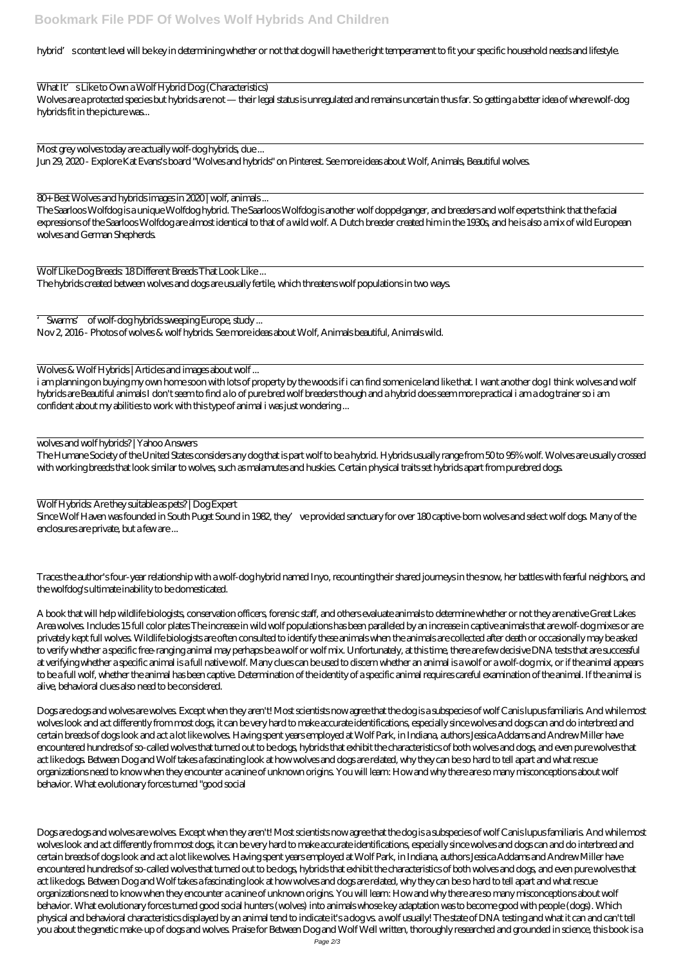hybrid's content level will be key in determining whether or not that dog will have the right temperament to fit your specific household needs and lifestyle.

What It's Like to Own a Wolf Hybrid Dog (Characteristics) Wolves are a protected species but hybrids are not — their legal status is unregulated and remains uncertain thus far. So getting a better idea of where wolf-dog hybrids fit in the picture was...

Most grey wolves today are actually wolf-dog hybrids, due ... Jun 29, 2020 - Explore Kat Evans's board "Wolves and hybrids" on Pinterest. See more ideas about Wolf, Animals, Beautiful wolves.

80+ Best Wolves and hybrids images in 2020 | wolf, animals ...

The Saarloos Wolfdog is a unique Wolfdog hybrid. The Saarloos Wolfdog is another wolf doppelganger, and breeders and wolf experts think that the facial expressions of the Saarloos Wolfdog are almost identical to that of a wild wolf. A Dutch breeder created him in the 1930s, and he is also a mix of wild European wolves and German Shepherds.

Wolf Like Dog Breeds: 18 Different Breeds That Look Like ... The hybrids created between wolves and dogs are usually fertile, which threatens wolf populations in two ways.

Since Wolf Haven was founded in South Puget Sound in 1982, they've provided sanctuary for over 180 captive-born wolves and select wolf dogs. Many of the enclosures are private, but a few are ...

'Swarms' of wolf-dog hybrids sweeping Europe, study ... Nov 2, 2016 - Photos of wolves & wolf hybrids. See more ideas about Wolf, Animals beautiful, Animals wild.

Wolves & Wolf Hybrids | Articles and images about wolf ...

i am planning on buying my own home soon with lots of property by the woods if i can find some nice land like that. I want another dog I think wolves and wolf hybrids are Beautiful animals I don't seem to find a lo of pure bred wolf breeders though and a hybrid does seem more practical i am a dog trainer so i am confident about my abilities to work with this type of animal i was just wondering ...

wolves and wolf hybrids? | Yahoo Answers

Dogs are dogs and wolves are wolves. Except when they aren't! Most scientists now agree that the dog is a subspecies of wolf Canis lupus familiaris. And while most wolves look and act differently from most dogs, it can be very hard to make accurate identifications, especially since wolves and dogs can and do interbreed and

The Humane Society of the United States considers any dog that is part wolf to be a hybrid. Hybrids usually range from 50 to 95% wolf. Wolves are usually crossed with working breeds that look similar to wolves, such as malamutes and huskies. Certain physical traits set hybrids apart from purebred dogs.

Wolf Hybrids: Are they suitable as pets? | Dog Expert

Traces the author's four-year relationship with a wolf-dog hybrid named Inyo, recounting their shared journeys in the snow, her battles with fearful neighbors, and the wolfdog's ultimate inability to be domesticated.

Dogs are dogs and wolves are wolves. Except when they aren't! Most scientists now agree that the dog is a subspecies of wolf Canis lupus familiaris. And while most wolves look and act differently from most dogs, it can be very hard to make accurate identifications, especially since wolves and dogs can and do interbreed and certain breeds of dogs look and act a lot like wolves. Having spent years employed at Wolf Park, in Indiana, authors Jessica Addams and Andrew Miller have encountered hundreds of so-called wolves that turned out to be dogs, hybrids that exhibit the characteristics of both wolves and dogs, and even pure wolves that act like dogs. Between Dog and Wolf takes a fascinating look at how wolves and dogs are related, why they can be so hard to tell apart and what rescue organizations need to know when they encounter a canine of unknown origins. You will learn: How and why there are so many misconceptions about wolf behavior. What evolutionary forces turned good social hunters (wolves) into animals whose key adaptation was to become good with people (dogs). Which physical and behavioral characteristics displayed by an animal tend to indicate it's a dog vs. a wolf usually! The state of DNA testing and what it can and can't tell you about the genetic make-up of dogs and wolves. Praise for Between Dog and Wolf Well written, thoroughly researched and grounded in science, this book is a Page 2/3

A book that will help wildlife biologists, conservation officers, forensic staff, and others evaluate animals to determine whether or not they are native Great Lakes Area wolves. Includes 15 full color plates The increase in wild wolf populations has been paralleled by an increase in captive animals that are wolf-dog mixes or are privately kept full wolves. Wildlife biologists are often consulted to identify these animals when the animals are collected after death or occasionally may be asked to verify whether a specific free-ranging animal may perhaps be a wolf or wolf mix. Unfortunately, at this time, there are few decisive DNA tests that are successful at verifying whether a specific animal is a full native wolf. Many clues can be used to discern whether an animal is a wolf or a wolf-dog mix, or if the animal appears to be a full wolf, whether the animal has been captive. Determination of the identity of a specific animal requires careful examination of the animal. If the animal is alive, behavioral clues also need to be considered.

certain breeds of dogs look and act a lot like wolves. Having spent years employed at Wolf Park, in Indiana, authors Jessica Addams and Andrew Miller have encountered hundreds of so-called wolves that turned out to be dogs, hybrids that exhibit the characteristics of both wolves and dogs, and even pure wolves that act like dogs. Between Dog and Wolf takes a fascinating look at how wolves and dogs are related, why they can be so hard to tell apart and what rescue organizations need to know when they encounter a canine of unknown origins. You will learn: How and why there are so many misconceptions about wolf behavior. What evolutionary forces turned "good social